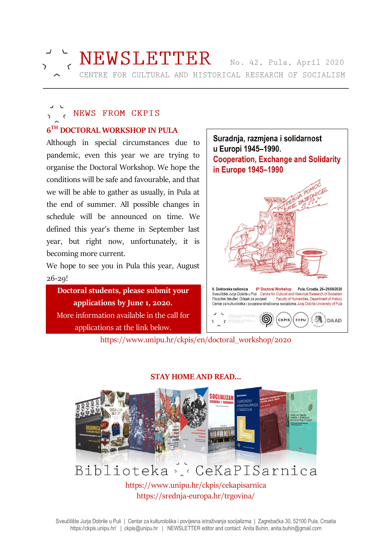

# NEWSLETTER No. 42, Pula, April 2020

CENTRE FOR CULTURAL AND HISTORICAL RESEARCH OF SOCIALISM

### NEWS FROM CKPIS **6 TH DOCTORAL WORKSHOP IN PULA**

Although in special circumstances due to pandemic, even this year we are trying to organise the Doctoral Workshop. We hope the conditions will be safe and favourable, and that we will be able to gather as usually, in Pula at the end of summer. All possible changes in schedule will be announced on time. We defined this year's theme in September last year, but right now, unfortunately, it is becoming more current.

We hope to see you in Pula this year, August 26-29!

**Doctoral students, please submit your applications by June 1, 2020.** More information available in the call for applications at the link below.



https://www.unipu.hr/ckpis/en/doctoral\_workshop/2020



#### **STAY HOME AND READ...**

https://www.unipu.hr/ckpis/cekapisarnica https://srednja-europa.hr/trgovina/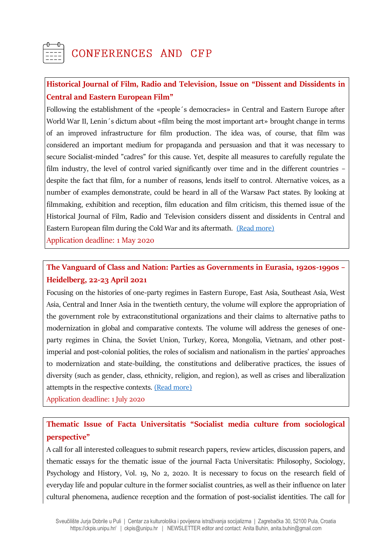## CONFERENCES AND CFP

### **Historical Journal of Film, Radio and Television, Issue on "Dissent and Dissidents in Central and Eastern European Film"**

Following the establishment of the «people´s democracies» in Central and Eastern Europe after World War II, Lenin's dictum about «film being the most important art» brought change in terms of an improved infrastructure for film production. The idea was, of course, that film was considered an important medium for propaganda and persuasion and that it was necessary to secure Socialist-minded "cadres" for this cause. Yet, despite all measures to carefully regulate the film industry, the level of control varied significantly over time and in the different countries – despite the fact that film, for a number of reasons, lends itself to control. Alternative voices, as a number of examples demonstrate, could be heard in all of the Warsaw Pact states. By looking at filmmaking, exhibition and reception, film education and film criticism, this themed issue of the Historical Journal of Film, Radio and Television considers dissent and dissidents in Central and Eastern European film during the Cold War and its aftermath. [\(Read more\)](http://www.historiografija.hr/?p=20574)

Application deadline: 1 May 2020

### **The Vanguard of Class and Nation: Parties as Governments in Eurasia, 1920s-1990s – Heidelberg, 22-23 April 2021**

Focusing on the histories of one-party regimes in Eastern Europe, East Asia, Southeast Asia, West Asia, Central and Inner Asia in the twentieth century, the volume will explore the appropriation of the government role by extraconstitutional organizations and their claims to alternative paths to modernization in global and comparative contexts. The volume will address the geneses of oneparty regimes in China, the Soviet Union, Turkey, Korea, Mongolia, Vietnam, and other postimperial and post-colonial polities, the roles of socialism and nationalism in the parties' approaches to modernization and state-building, the constitutions and deliberative practices, the issues of diversity (such as gender, class, ethnicity, religion, and region), as well as crises and liberalization attempts in the respective contexts. [\(Read more\)](https://www.hsozkult.de/event/id/termine-42827)

Application deadline: 1 July 2020

### **Thematic Issue of Facta Universitatis "Socialist media culture from sociological perspective"**

A call for all interested colleagues to submit research papers, review articles, discussion papers, and thematic essays for the thematic issue of the journal Facta Universitatis: Philosophy, Sociology, Psychology and History, Vol. 19, No 2, 2020. It is necessary to focus on the research field of everyday life and popular culture in the former socialist countries, as well as their influence on later cultural phenomena, audience reception and the formation of post-socialist identities. The call for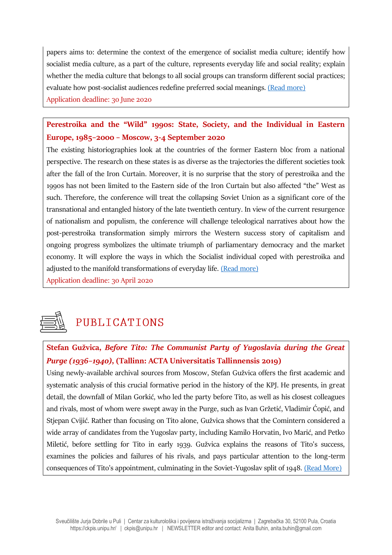papers aims to: determine the context of the emergence of socialist media culture; identify how socialist media culture, as a part of the culture, represents everyday life and social reality; explain whether the media culture that belongs to all social groups can transform different social practices; evaluate how post-socialist audiences redefine preferred social meanings. [\(Read more\)](http://casopisi.junis.ni.ac.rs/index.php/FUPhilSocPsyHist/about/submissions#authorGuidelines) Application deadline: 30 June 2020

### **Perestroika and the "Wild" 1990s: State, Society, and the Individual in Eastern Europe, 1985–2000 – Moscow, 3-4 September 2020**

The existing historiographies look at the countries of the former Eastern bloc from a national perspective. The research on these states is as diverse as the trajectories the different societies took after the fall of the Iron Curtain. Moreover, it is no surprise that the story of perestroika and the 1990s has not been limited to the Eastern side of the Iron Curtain but also affected "the" West as such. Therefore, the conference will treat the collapsing Soviet Union as a significant core of the transnational and entangled history of the late twentieth century. In view of the current resurgence of nationalism and populism, the conference will challenge teleological narratives about how the post-perestroika transformation simply mirrors the Western success story of capitalism and ongoing progress symbolizes the ultimate triumph of parliamentary democracy and the market economy. It will explore the ways in which the Socialist individual coped with perestroika and adjusted to the manifold transformations of everyday life. [\(Read more\)](https://www.hsozkult.de/event/id/termine-42851)

Application deadline: 30 April 2020



### PUBLICATIONS

### **Stefan Gužvica,** *Before Tito: The Communist Party of Yugoslavia during the Great Purge (1936–1940)***, (Tallinn: ACTA Universitatis Tallinnensis 2019)**

Using newly-available archival sources from Moscow, Stefan Gužvica offers the first academic and systematic analysis of this crucial formative period in the history of the KPJ. He presents, in great detail, the downfall of Milan Gorkić, who led the party before Tito, as well as his closest colleagues and rivals, most of whom were swept away in the Purge, such as Ivan Gržetić, Vladimir Ćopić, and Stjepan Cvijić. Rather than focusing on Tito alone, Gužvica shows that the Comintern considered a wide array of candidates from the Yugoslav party, including Kamilo Horvatin, Ivo Marić, and Petko Miletić, before settling for Tito in early 1939. Gužvica explains the reasons of Tito's success, examines the policies and failures of his rivals, and pays particular attention to the long-term consequences of Tito's appointment, culminating in the Soviet-Yugoslav split of 1948. [\(Read More\)](https://www.tlu.ee/en/taxonomy/term/83/bookshop)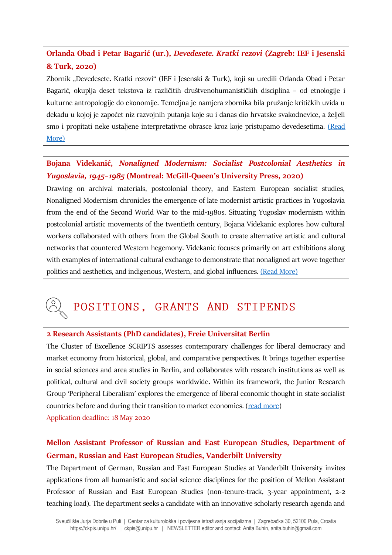### **Orlanda Obad i Petar Bagarić (ur.),** *Devedesete. Kratki rezovi* **(Zagreb: IEF i Jesenski & Turk, 2020)**

Zbornik "Devedesete. Kratki rezovi" (IEF i Jesenski & Turk), koji su uredili Orlanda Obad i Petar Bagarić, okuplja deset tekstova iz različitih društvenohumanističkih disciplina – od etnologije i kulturne antropologije do ekonomije. Temeljna je namjera zbornika bila pružanje kritičkih uvida u dekadu u kojoj je započet niz razvojnih putanja koje su i danas dio hrvatske svakodnevice, a željeli smo i propitati neke ustaljene interpretativne obrasce kroz koje pristupamo devedesetima. (Read [More\)](http://www.ief.hr/novosti/devedesete-kratki-rezovi/)

### **Bojana Videkanić,** *Nonaligned Modernism: Socialist Postcolonial Aesthetics in Yugoslavia, 1945–1985* **(Montreal: McGill-Queen's University Press, 2020)**

Drawing on archival materials, postcolonial theory, and Eastern European socialist studies, Nonaligned Modernism chronicles the emergence of late modernist artistic practices in Yugoslavia from the end of the Second World War to the mid-1980s. Situating Yugoslav modernism within postcolonial artistic movements of the twentieth century, Bojana Videkanic explores how cultural workers collaborated with others from the Global South to create alternative artistic and cultural networks that countered Western hegemony. Videkanic focuses primarily on art exhibitions along with examples of international cultural exchange to demonstrate that nonaligned art wove together politics and aesthetics, and indigenous, Western, and global influences. [\(Read More\)](https://www.mqup.ca/nonaligned-modernism-products-9780773559462.php)

### POSITIONS, GRANTS AND STIPENDS

#### **2 Research Assistants (PhD candidates), Freie Universitat Berlin**

The Cluster of Excellence SCRIPTS assesses contemporary challenges for liberal democracy and market economy from historical, global, and comparative perspectives. It brings together expertise in social sciences and area studies in Berlin, and collaborates with research institutions as well as political, cultural and civil society groups worldwide. Within its framework, the Junior Research Group 'Peripheral Liberalism' explores the emergence of liberal economic thought in state socialist countries before and during their transition to market economies. [\(read more\)](https://www.fu-berlin.de/universitaet/beruf-karriere/jobs/english/EXZ-2020-Liberal-Script-History-Peripheral-Liberalism-PhD--E.html) Application deadline: 18 May 2020

### **Mellon Assistant Professor of Russian and East European Studies, Department of German, Russian and East European Studies, Vanderbilt University**

The Department of German, Russian and East European Studies at Vanderbilt University invites applications from all humanistic and social science disciplines for the position of Mellon Assistant Professor of Russian and East European Studies (non-tenure-track, 3-year appointment, 2-2 teaching load). The department seeks a candidate with an innovative scholarly research agenda and